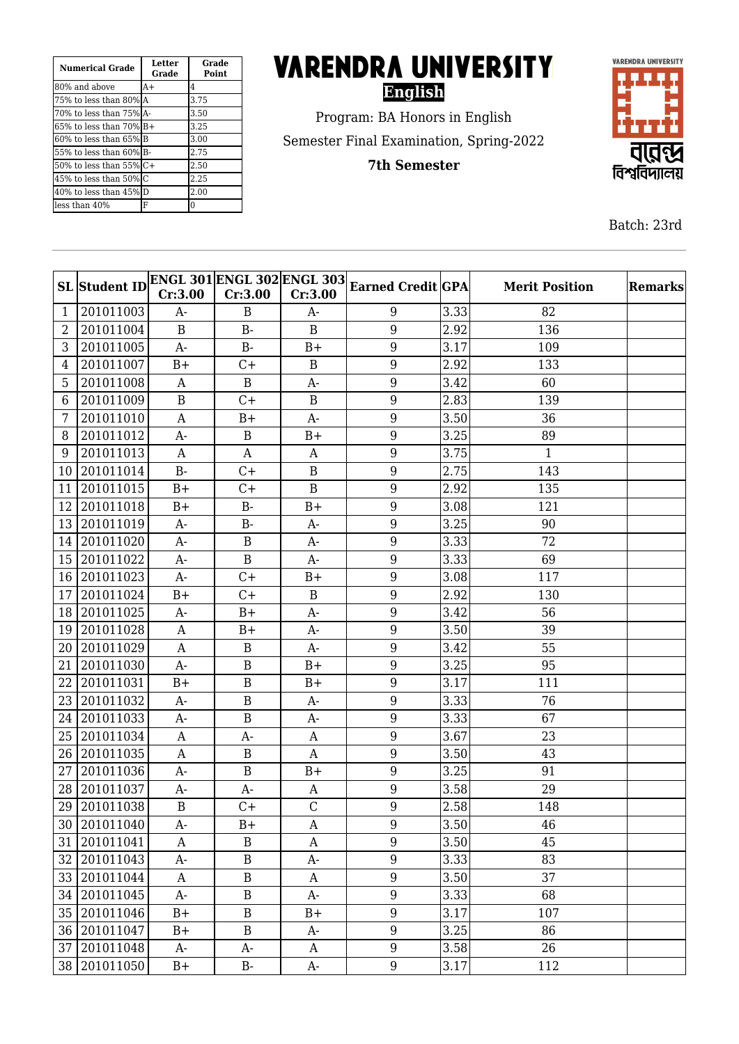| <b>Numerical Grade</b>   | <b>Letter</b><br>Grade | Grade<br><b>Point</b> |
|--------------------------|------------------------|-----------------------|
| 180% and above           | $A+$                   | 4                     |
| 175% to less than 80%IA  |                        | 3.75                  |
| 170% to less than 75%1A- |                        | 3.50                  |
| 165% to less than 70% B+ |                        | 3.25                  |
| 160% to less than 65%IB  |                        | 3.00                  |
| 155% to less than 60%IB- |                        | 2.75                  |
| l50% to less than 55% C+ |                        | 2.50                  |
| 45% to less than 50%lC   |                        | 2.25                  |
| 40% to less than 45% D   |                        | 2.00                  |
| lless than 40%           | F                      | 0                     |

## **VARENDRA UNIVERSITY English**

Program: BA Honors in English Semester Final Examination, Spring-2022

**7th Semester**



Batch: 23rd

|                | <b>SL</b> Student ID | Cr:3.00          | Cr:3.00      | Cr:3.00          | $\boxed{\mathrm{ENGL}\ 301 \mathrm{ENGL}\ 302 \mathrm{ENGL}\ 303 }_{\mathrm{Earned}\ Credit}\boxed{\mathrm{GPA}}$ |      | <b>Merit Position</b> | <b>Remarks</b> |
|----------------|----------------------|------------------|--------------|------------------|-------------------------------------------------------------------------------------------------------------------|------|-----------------------|----------------|
| 1              | 201011003            | A-               | B            | $A-$             | 9                                                                                                                 | 3.33 | 82                    |                |
| $\overline{2}$ | 201011004            | B                | $B -$        | B                | 9                                                                                                                 | 2.92 | 136                   |                |
| 3              | 201011005            | $A-$             | $B -$        | $B+$             | 9                                                                                                                 | 3.17 | 109                   |                |
| 4              | 201011007            | $B+$             | $C+$         | $\mathbf B$      | $\boldsymbol{9}$                                                                                                  | 2.92 | 133                   |                |
| 5              | 201011008            | $\mathbf{A}$     | $\mathbf B$  | $A-$             | 9                                                                                                                 | 3.42 | 60                    |                |
| 6              | 201011009            | $\overline{B}$   | $C+$         | $\mathbf B$      | $9\,$                                                                                                             | 2.83 | 139                   |                |
| 7              | 201011010            | A                | $B+$         | $A-$             | $9\,$                                                                                                             | 3.50 | 36                    |                |
| 8              | 201011012            | $A-$             | $\mathbf B$  | $B+$             | $9\,$                                                                                                             | 3.25 | 89                    |                |
| 9              | 201011013            | A                | A            | A                | $\boldsymbol{9}$                                                                                                  | 3.75 | $\mathbf{1}$          |                |
| 10             | 201011014            | $B -$            | $C+$         | $\mathbf B$      | 9                                                                                                                 | 2.75 | 143                   |                |
| 11             | 201011015            | $B+$             | $C+$         | $\overline{B}$   | 9                                                                                                                 | 2.92 | 135                   |                |
| 12             | 201011018            | $B+$             | $B -$        | $B+$             | 9                                                                                                                 | 3.08 | 121                   |                |
| 13             | 201011019            | $A-$             | $B-$         | $A-$             | $9\,$                                                                                                             | 3.25 | 90                    |                |
| 14             | 201011020            | $A-$             | $\, {\bf B}$ | $A-$             | $9\,$                                                                                                             | 3.33 | 72                    |                |
| 15             | 201011022            | A-               | $\, {\bf B}$ | A-               | $9\,$                                                                                                             | 3.33 | 69                    |                |
| 16             | 201011023            | $A-$             | $C +$        | $B+$             | 9                                                                                                                 | 3.08 | 117                   |                |
| 17             | 201011024            | $B+$             | $C+$         | $\mathbf B$      | 9                                                                                                                 | 2.92 | 130                   |                |
| 18             | 201011025            | $A-$             | $B+$         | $A-$             | 9                                                                                                                 | 3.42 | 56                    |                |
| 19             | 201011028            | $\mathbf{A}$     | $B+$         | $A-$             | 9                                                                                                                 | 3.50 | 39                    |                |
| 20             | 201011029            | $\mathbf{A}$     | $\, {\bf B}$ | $A-$             | $\boldsymbol{9}$                                                                                                  | 3.42 | 55                    |                |
| 21             | 201011030            | $A-$             | $\, {\bf B}$ | $B+$             | 9                                                                                                                 | 3.25 | 95                    |                |
| 22             | 201011031            | $B+$             | $\mathbf B$  | $B+$             | $9\,$                                                                                                             | 3.17 | 111                   |                |
| 23             | 201011032            | $A-$             | $\, {\bf B}$ | A-               | 9                                                                                                                 | 3.33 | 76                    |                |
| 24             | 201011033            | $A-$             | $\mathbf B$  | $A-$             | $9\,$                                                                                                             | 3.33 | 67                    |                |
| 25             | 201011034            | A                | A-           | A                | $\boldsymbol{9}$                                                                                                  | 3.67 | 23                    |                |
| 26             | 201011035            | $\mathbf{A}$     | $\, {\bf B}$ | A                | $9\,$                                                                                                             | 3.50 | 43                    |                |
| 27             | 201011036            | $A-$             | $\, {\bf B}$ | $B+$             | 9                                                                                                                 | 3.25 | 91                    |                |
| 28             | 201011037            | A-               | A-           | A                | $\boldsymbol{9}$                                                                                                  | 3.58 | 29                    |                |
|                | 29 201011038         | $\mathbf B$      | $C +$        | $\mathcal{C}$    | 9                                                                                                                 | 2.58 | 148                   |                |
|                | 30 201011040         | A-               | $B+$         | A                | 9                                                                                                                 | 3.50 | 46                    |                |
|                | 31 201011041         | A                | $\bf{B}$     | A                | 9                                                                                                                 | 3.50 | 45                    |                |
| 32             | 201011043            | $A-$             | $\, {\bf B}$ | A-               | 9                                                                                                                 | 3.33 | 83                    |                |
|                | 33 201011044         | $\boldsymbol{A}$ | $\, {\bf B}$ | A                | $\overline{9}$                                                                                                    | 3.50 | 37                    |                |
|                | 34 201011045         | $A-$             | $\, {\bf B}$ | $A-$             | 9                                                                                                                 | 3.33 | 68                    |                |
|                | 35 201011046         | $B+$             | $\, {\bf B}$ | $B+$             | 9                                                                                                                 | 3.17 | 107                   |                |
|                | 36 201011047         | $B+$             | $\, {\bf B}$ | A-               | 9                                                                                                                 | 3.25 | 86                    |                |
|                | 37 201011048         | $A-$             | $A-$         | $\boldsymbol{A}$ | $\boldsymbol{9}$                                                                                                  | 3.58 | 26                    |                |
|                | 38 201011050         | $B+$             | $B-$         | $A-$             | $\boldsymbol{9}$                                                                                                  | 3.17 | 112                   |                |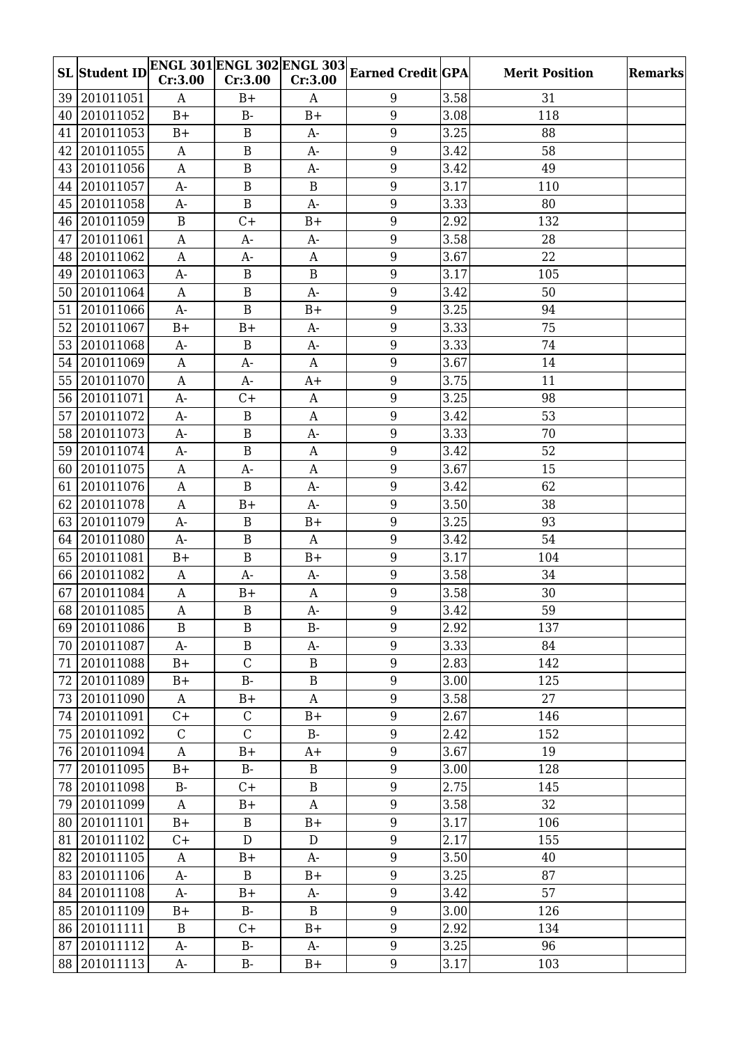|    | <b>SL</b> Student ID |                  | <b>ENGL 301 ENGL 302 ENGL 303</b> |                  | <b>Earned Credit GPA</b> |                   | <b>Merit Position</b> | <b>Remarks</b> |
|----|----------------------|------------------|-----------------------------------|------------------|--------------------------|-------------------|-----------------------|----------------|
|    |                      | Cr:3.00          | Cr:3.00                           | Cr:3.00          |                          |                   |                       |                |
|    | 39 201011051         | A                | $B+$                              | A                | 9                        | 3.58              | 31                    |                |
|    | 40 201011052         | $B+$             | $B-$                              | $B+$             | $\overline{9}$           | 3.08              | 118                   |                |
| 41 | 201011053            | $B+$             | $\mathbf B$                       | $A-$             | 9                        | 3.25              | 88                    |                |
| 42 | 201011055            | $\mathbf{A}$     | $\, {\bf B}$                      | $A-$             | 9                        | 3.42              | 58                    |                |
|    | 43 201011056         | $\mathbf{A}$     | $\, {\bf B}$                      | $A-$             | 9                        | 3.42              | 49                    |                |
|    | 44 201011057         | $A-$             | $\, {\bf B}$                      | $\mathbf B$      | 9                        | 3.17              | 110                   |                |
|    | 45 201011058         | $A-$             | $\mathbf B$                       | $A-$             | $9\,$                    | 3.33              | 80                    |                |
|    | 46 201011059         | $\, {\bf B}$     | $C +$                             | $B+$             | $9\,$                    | 2.92              | 132                   |                |
| 47 | 201011061            | $\mathbf{A}$     | $A-$                              | $A-$             | 9                        | 3.58              | 28                    |                |
| 48 | 201011062            | $\mathbf{A}$     | A-                                | A                | $\overline{9}$           | 3.67              | 22                    |                |
|    | 49 201011063         | $A-$             | $\mathbf B$                       | $\mathbf B$      | 9                        | 3.17              | 105                   |                |
| 50 | 201011064            | $\mathbf{A}$     | $\, {\bf B}$                      | $A-$             | 9                        | 3.42              | 50                    |                |
| 51 | 201011066            | $A-$             | $\, {\bf B}$                      | $B+$             | $\boldsymbol{9}$         | 3.25              | 94                    |                |
| 52 | 201011067            | $B+$             | $B+$                              | $A-$             | $\overline{9}$           | 3.33              | 75                    |                |
| 53 | 201011068            | $A-$             | B                                 | $A-$             | 9                        | 3.33              | 74                    |                |
|    | 54 201011069         | A                | $A-$                              | $\boldsymbol{A}$ | 9                        | 3.67              | 14                    |                |
|    | 55 201011070         | $\mathbf{A}$     | $A-$                              | $A+$             | 9                        | 3.75              | 11                    |                |
| 56 | 201011071            | $A-$             | $C +$                             | A                | 9                        | 3.25              | 98                    |                |
| 57 | 201011072            | $A-$             | $\mathbf B$                       | $\mathbf{A}$     | 9                        | 3.42              | 53                    |                |
|    | 58 201011073         | $A-$             | $\, {\bf B}$                      | A-               | 9                        | 3.33              | 70                    |                |
| 59 | 201011074            | A-               | $\, {\bf B}$                      | $\mathbf{A}$     | $9\,$                    | 3.42              | 52                    |                |
| 60 | 201011075            | $\mathbf{A}$     | $A-$                              | $\mathbf{A}$     | 9                        | 3.67              | 15                    |                |
| 61 | 201011076            | $\mathbf{A}$     | $\mathbf B$                       | $A-$             | $9\,$                    | 3.42              | 62                    |                |
|    | 62 201011078         | $\mathbf A$      | $B+$                              | $A-$             | 9                        | 3.50              | 38                    |                |
|    | 63 201011079         | $A-$             | $\, {\bf B}$                      | $B+$             | 9                        | 3.25              | 93                    |                |
|    | 64 201011080         | $A-$             | $\, {\bf B}$                      | $\mathbf{A}$     | 9                        | 3.42              | 54                    |                |
|    | 65 201011081         | $B+$             | $\, {\bf B}$                      | $B+$             | 9                        | 3.17              | 104                   |                |
|    | 66 201011082         | $\mathbf{A}$     | $A-$                              | $A-$             | $9\,$                    | 3.58              | 34                    |                |
| 67 | 201011084            | $\mathbf{A}$     | $B+$                              | A                | 9                        | 3.58              | 30                    |                |
|    | 68 201011085         | $\mathbf A$      | $\, {\bf B}$                      | $A-$             | 9                        | 3.42              | 59                    |                |
|    | 69 201011086         | $\mathbf B$      | $\bf{B}$                          | $B -$            | 9                        | 2.92              | 137                   |                |
|    | 70 201011087         | $A-$             | $\, {\bf B}$                      | A-               | 9                        | 3.33              | 84                    |                |
| 71 | 201011088            | $B+$             | $\mathsf C$                       | $\mathbf B$      | $\boldsymbol{9}$         | 2.83              | 142                   |                |
|    | 72 201011089         | $B+$             | $B-$                              | $\, {\bf B}$     | $\overline{9}$           | 3.00              | 125                   |                |
|    | 73 201011090         | A                | $B+$                              | A                | $\boldsymbol{9}$         | 3.58              | 27                    |                |
|    | 74 201011091         | $C +$            | $\mathsf C$                       | $B+$             | $\overline{9}$           | 2.67              | 146                   |                |
|    | 75 201011092         | $\mathcal{C}$    | $\mathsf C$                       | $B-$             | $\boldsymbol{9}$         | 2.42              | 152                   |                |
|    | 76 201011094         | $\mathbf{A}$     | $B+$                              | $A+$             | 9                        | 3.67              | 19                    |                |
|    | 77 201011095         | $B+$             | $B-$                              | B                | $\boldsymbol{9}$         | 3.00              | 128                   |                |
|    | 78 201011098         | $B-$             | $C +$                             | $\bf{B}$         | $\boldsymbol{9}$         | 2.75              | 145                   |                |
|    | 79 201011099         | $\boldsymbol{A}$ | $B+$                              | $\boldsymbol{A}$ | 9                        | 3.58              | 32                    |                |
|    | 80 201011101         | $B+$             | $\bf{B}$                          | $B+$             | $\overline{9}$           | 3.17              | 106                   |                |
|    | 81 201011102         | $C+$             | $\mathbf D$                       | D                | 9                        | 2.17              | 155                   |                |
|    | 82 201011105         | $\mathbf{A}$     | $B+$                              | $A-$             | 9                        | 3.50              | 40                    |                |
|    | 83 201011106         | A-               | $\bf{B}$                          | $B+$             | $\boldsymbol{9}$         | $\overline{3.25}$ | 87                    |                |
|    | 84 201011108         | $A-$             | $B+$                              | $A-$             | $\overline{9}$           | 3.42              | 57                    |                |
|    | 85 201011109         | $B+$             | $B-$                              | $\, {\bf B}$     | $\boldsymbol{9}$         | 3.00              | 126                   |                |
|    | 86 201011111         | $\bf{B}$         | $C +$                             | $B+$             | 9                        | 2.92              | 134                   |                |
|    | 87 201011112         | $A-$             | $B -$                             | A-               | 9                        | 3.25              | 96                    |                |
|    | 88 201011113         | $A-$             | $B-$                              | $B+$             | $\boldsymbol{9}$         | 3.17              | 103                   |                |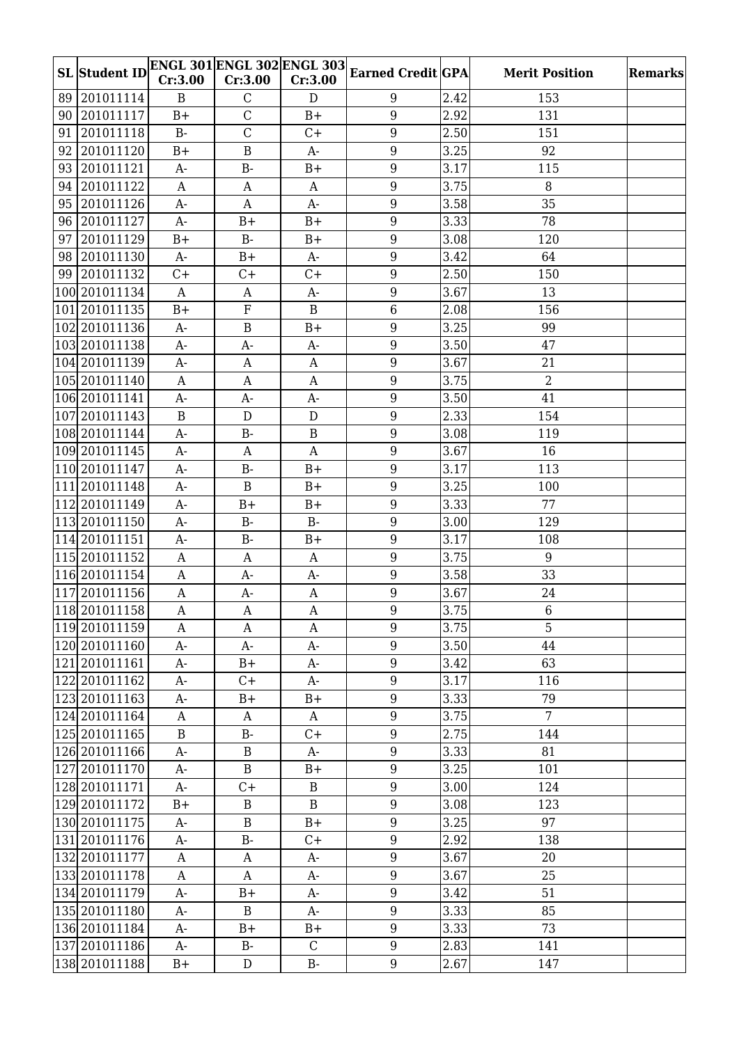|    | <b>SL</b> Student ID    | Cr:3.00          | <b>ENGL 301 ENGL 302 ENGL 303</b><br>Cr:3.00 | Cr:3.00          | <b>Earned Credit GPA</b> |                   | <b>Merit Position</b> | <b>Remarks</b> |
|----|-------------------------|------------------|----------------------------------------------|------------------|--------------------------|-------------------|-----------------------|----------------|
|    | 89 201011114            |                  |                                              |                  |                          |                   |                       |                |
|    |                         | $\mathbf{B}$     | $\mathbf C$<br>$\overline{C}$                | D                | 9                        | 2.42              | 153                   |                |
|    | 90 201011117            | $B+$             |                                              | $B+$             | $\overline{9}$           | 2.92              | 131                   |                |
|    | 91 201011118            | $B -$            | $\overline{C}$                               | $C+$             | 9                        | 2.50              | 151                   |                |
| 92 | 201011120               | $B+$             | $\, {\bf B}$                                 | $A-$             | 9                        | 3.25              | 92                    |                |
|    | 93 201011121            | $A-$             | $B-$                                         | $B+$             | 9                        | 3.17              | 115                   |                |
|    | 94 201011122            | $\mathbf{A}$     | $\mathbf{A}$                                 | $\mathbf{A}$     | 9                        | 3.75              | 8                     |                |
|    | 95 201011126            | $A-$             | $\mathbf{A}$                                 | $A-$             | $9\,$                    | 3.58              | 35                    |                |
|    | 96 201011127            | $A-$             | $B+$                                         | $B+$             | $9\,$                    | 3.33              | 78                    |                |
|    | 97 201011129            | $B+$             | $B -$                                        | $B+$             | 9                        | 3.08              | 120                   |                |
|    | 98 201011130            | $A-$             | $B+$                                         | $A-$             | 9                        | 3.42              | 64                    |                |
|    | 99 201011132            | $C +$            | $C+$                                         | $C+$             | 9                        | 2.50              | 150                   |                |
|    | 100 2010 11134          | $\mathbf{A}$     | A                                            | $A-$             | 9                        | 3.67              | 13                    |                |
|    | 101 2010 11135          | $B+$             | ${\bf F}$                                    | $\mathbf B$      | $\,6\,$                  | 2.08              | 156                   |                |
|    | 102 2010 11136          | $A-$             | $\, {\bf B}$                                 | $B+$             | $\overline{9}$           | 3.25              | 99                    |                |
|    | 103 2010 11138          | $A-$             | $A-$                                         | $A-$             | $\overline{9}$           | $\overline{3.50}$ | 47                    |                |
|    | 104 2010 11139          | $A-$             | A                                            | A                | 9                        | 3.67              | 21                    |                |
|    | 105 2010 11140          | $\mathbf{A}$     | $\mathbf{A}$                                 | $\mathbf{A}$     | 9                        | 3.75              | $\overline{2}$        |                |
|    | 106 2010 11141          | $A-$             | $A-$                                         | $A-$             | 9                        | 3.50              | 41                    |                |
|    | 107 2010 11143          | $\mathbf{B}$     | ${\bf D}$                                    | D                | 9                        | 2.33              | 154                   |                |
|    | 108 2010 11144          | $A-$             | <b>B-</b>                                    | $\mathbf B$      | 9                        | 3.08              | 119                   |                |
|    | 109 2010 11145          | $A-$             | A                                            | $\mathbf{A}$     | $9\,$                    | 3.67              | 16                    |                |
|    | 110 2010 11147          | $A-$             | $B-$                                         | $B+$             | 9                        | 3.17              | 113                   |                |
|    | 111 2010 11148          | $A-$             | $\mathbf B$                                  | $B+$             | $9\,$                    | 3.25              | 100                   |                |
|    | 112 2010 11149          | $A-$             | $B+$                                         | $B+$             | 9                        | 3.33              | 77                    |                |
|    | 113 2010 11150          | $A-$             | $B-$                                         | $B -$            | 9                        | 3.00              | 129                   |                |
|    | 114 2010 11151          | $A-$             | $B-$                                         | $B+$             | 9                        | 3.17              | 108                   |                |
|    | 115 2010 11152          | $\mathbf{A}$     | A                                            | $\boldsymbol{A}$ | 9                        | 3.75              | 9                     |                |
|    | 116 2010 11154          | $\mathbf{A}$     | $A-$                                         | $A-$             | $9\,$                    | 3.58              | 33                    |                |
|    | 117 2010 11156          | $\mathbf{A}$     | $A-$                                         | A                | 9                        | 3.67              | 24                    |                |
|    | $\boxed{118}$ 201011158 | $\mathbf A$      | $\boldsymbol{\rm{A}}$                        | $\boldsymbol{A}$ | 9                        | 3.75              | $6\,$                 |                |
|    | 119 2010 11159          | A                | A                                            | A                | 9                        | 3.75              | 5                     |                |
|    | 120 2010 11160          | $A-$             | $A-$                                         | A-               | 9                        | 3.50              | 44                    |                |
|    | 121 2010 11161          | $A-$             | $B+$                                         | A-               | $\boldsymbol{9}$         | 3.42              | 63                    |                |
|    | 122 201011162           | $A-$             | $C+$                                         | $A-$             | $\overline{9}$           | 3.17              | 116                   |                |
|    | 123 2010 11163          | $A-$             | $B+$                                         | $B+$             | $\boldsymbol{9}$         | 3.33              | 79                    |                |
|    | 124 201011164           | $\boldsymbol{A}$ | A                                            | A                | $\boldsymbol{9}$         | 3.75              | $7\overline{ }$       |                |
|    | 125 2010 11165          | $\, {\bf B}$     | $B-$                                         | $C+$             | $\boldsymbol{9}$         | 2.75              | 144                   |                |
|    | 126 201011166           | $A-$             | $\, {\bf B}$                                 | $A-$             | $\overline{9}$           | 3.33              | 81                    |                |
|    | 127 2010 11170          | $A-$             | $\, {\bf B}$                                 | $B+$             | $\boldsymbol{9}$         | 3.25              | 101                   |                |
|    | 128 201011171           | A-               | $C +$                                        | B                | $\boldsymbol{9}$         | 3.00              | 124                   |                |
|    | 129 201011172           | $B+$             | $\, {\bf B}$                                 | $\mathbf B$      | $\boldsymbol{9}$         | 3.08              | 123                   |                |
|    | 130 2010 11175          | $A-$             | $\, {\bf B}$                                 | $B+$             | $\overline{9}$           | 3.25              | 97                    |                |
|    | 131 201011176           | $A-$             | $B-$                                         | $C+$             | 9                        | 2.92              | 138                   |                |
|    | 132 2010 11177          | $\mathbf{A}$     | A                                            | $A-$             | $\overline{9}$           | 3.67              | 20                    |                |
|    | 133 2010 11178          | $\boldsymbol{A}$ | A                                            | $A-$             | $\boldsymbol{9}$         | 3.67              | 25                    |                |
|    | 134 201011179           | $A-$             | $B+$                                         | $A-$             | 9                        | 3.42              | 51                    |                |
|    | 135 2010 11180          | $A-$             | $\bf{B}$                                     | A-               | $\boldsymbol{9}$         | 3.33              | 85                    |                |
|    | 136 2010 11184          | $A-$             | $B+$                                         | $B+$             | $9\,$                    | 3.33              | 73                    |                |
|    | 137 2010 11186          | $A-$             | $B-$                                         | $\mathbf C$      | $\boldsymbol{9}$         | 2.83              | 141                   |                |
|    | 138 201011188           | $B+$             | ${\rm D}$                                    | $B-$             | $9\,$                    | 2.67              | 147                   |                |
|    |                         |                  |                                              |                  |                          |                   |                       |                |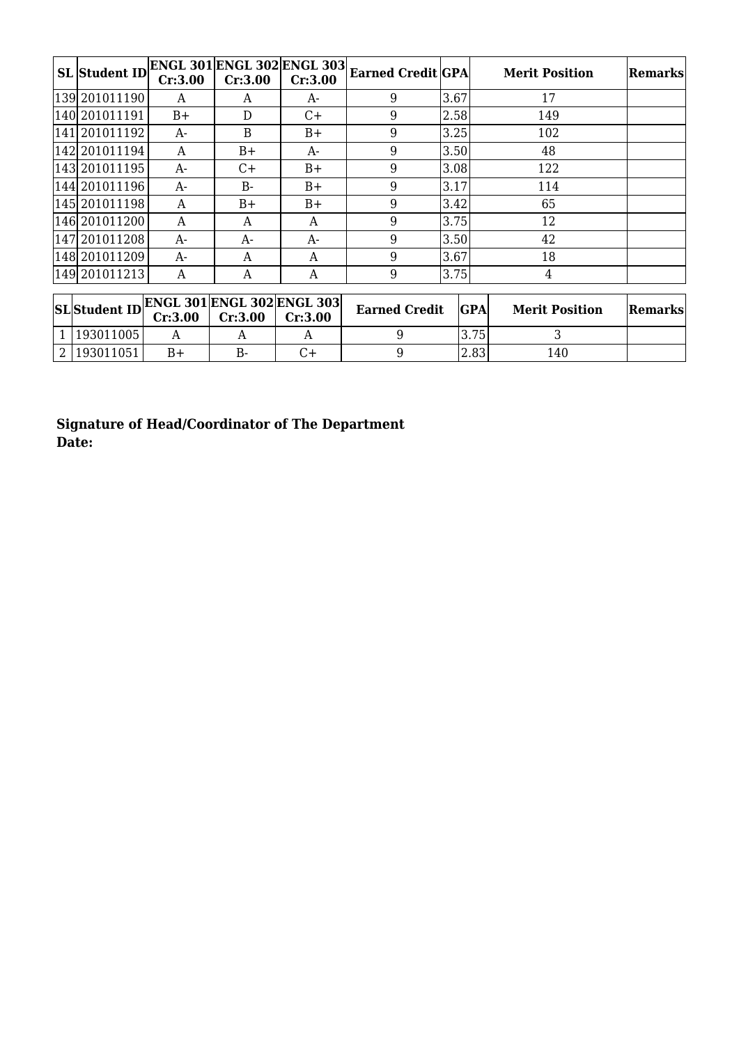| <b>SL</b> Student ID | Cr:3.00 | Cr:3.00 | <b>ENGL 301 ENGL 302 ENGL 303</b><br>Cr:3.00 | <b>Earned Credit GPA</b> |      | <b>Merit Position</b> | Remarks |
|----------------------|---------|---------|----------------------------------------------|--------------------------|------|-----------------------|---------|
| 139 2010 11190       | A       | A       | A-                                           | 9                        | 3.67 | 17                    |         |
| 140 2010 11191       | $B+$    | D       | $C+$                                         | 9                        | 2.58 | 149                   |         |
| 141 2010 11192       | A-      | B       | $B+$                                         | 9                        | 3.25 | 102                   |         |
| 142 2010 11194       | A       | $B+$    | A-                                           | 9                        | 3.50 | 48                    |         |
| 143 2010 11195       | A-      | $C+$    | $B+$                                         | 9                        | 3.08 | 122                   |         |
| 144 201011196        | $A-$    | $B -$   | $B+$                                         | 9                        | 3.17 | 114                   |         |
| 145 2010 11198       | A       | $B+$    | $B+$                                         | 9                        | 3.42 | 65                    |         |
| 146 2010 11200       | A       | A       | A                                            | 9                        | 3.75 | 12                    |         |
| 147 2010 11208       | A-      | $A-$    | $A-$                                         | 9                        | 3.50 | 42                    |         |
| 148 2010 11209       | $A-$    | A       | A                                            | 9                        | 3.67 | 18                    |         |
| 149 2010 11213       | А       | A       | A                                            | 9                        | 3.75 | 4                     |         |

| $\textbf{SL}\textbf{Student ID}\textbf{ENGL 301}\textbf{ENGL 302}\textbf{ENGL 303}\textbf{C1:3.00}\textbf{C1:3.00}\textbf{C1:3.00}\textbf{C1:3.00}\textbf{C1:3.00}\textbf{C2:3.00}\textbf{C1:3.00}\textbf{C2:3.00}\textbf{C1:3.00}\textbf{C2:3.00}\textbf{C1:3.00}\textbf{C2:3.00}\textbf{C1:3.00}\textbf{C2:3.00}\textbf{C1:3.00}\textbf{C2:3.00}\textbf$ |      |    | <b>Earned Credit</b> | <b>GPA</b> | <b>Merit Position</b> | <b>Remarks</b> |
|------------------------------------------------------------------------------------------------------------------------------------------------------------------------------------------------------------------------------------------------------------------------------------------------------------------------------------------------------------|------|----|----------------------|------------|-----------------------|----------------|
| 1   193011005                                                                                                                                                                                                                                                                                                                                              |      |    |                      | 3.75       |                       |                |
| 2   193011051                                                                                                                                                                                                                                                                                                                                              | $B+$ | В- |                      | 2.83       | 140                   |                |

**Signature of Head/Coordinator of The Department Date:**